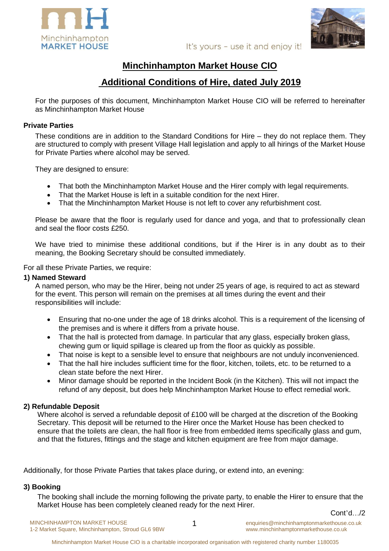



It's yours - use it and enjoy it!

# **Minchinhampton Market House CIO**

# **Additional Conditions of Hire, dated July 2019**

For the purposes of this document, Minchinhampton Market House CIO will be referred to hereinafter as Minchinhampton Market House

#### **Private Parties**

These conditions are in addition to the Standard Conditions for Hire – they do not replace them. They are structured to comply with present Village Hall legislation and apply to all hirings of the Market House for Private Parties where alcohol may be served.

They are designed to ensure:

- That both the Minchinhampton Market House and the Hirer comply with legal requirements.
- That the Market House is left in a suitable condition for the next Hirer.
- That the Minchinhampton Market House is not left to cover any refurbishment cost.

Please be aware that the floor is regularly used for dance and yoga, and that to professionally clean and seal the floor costs £250.

We have tried to minimise these additional conditions, but if the Hirer is in any doubt as to their meaning, the Booking Secretary should be consulted immediately.

For all these Private Parties, we require:

#### **1) Named Steward**

A named person, who may be the Hirer, being not under 25 years of age, is required to act as steward for the event. This person will remain on the premises at all times during the event and their responsibilities will include:

- Ensuring that no-one under the age of 18 drinks alcohol. This is a requirement of the licensing of the premises and is where it differs from a private house.
- That the hall is protected from damage. In particular that any glass, especially broken glass, chewing gum or liquid spillage is cleared up from the floor as quickly as possible.
- That noise is kept to a sensible level to ensure that neighbours are not unduly inconvenienced.
- That the hall hire includes sufficient time for the floor, kitchen, toilets, etc. to be returned to a clean state before the next Hirer.
- Minor damage should be reported in the Incident Book (in the Kitchen). This will not impact the refund of any deposit, but does help Minchinhampton Market House to effect remedial work.

## **2) Refundable Deposit**

Where alcohol is served a refundable deposit of £100 will be charged at the discretion of the Booking Secretary. This deposit will be returned to the Hirer once the Market House has been checked to ensure that the toilets are clean, the hall floor is free from embedded items specifically glass and gum, and that the fixtures, fittings and the stage and kitchen equipment are free from major damage.

Additionally, for those Private Parties that takes place during, or extend into, an evening:

## **3) Booking**

The booking shall include the morning following the private party, to enable the Hirer to ensure that the Market House has been completely cleaned ready for the next Hirer. Cont'd…/2

MINCHINHAMPTON MARKET HOUSE 1 1-2 Market Square, Minchinhampton, Stroud GL6 9BW

enquiries@minchinhamptonmarkethouse.co.uk www.minchinhamptonmarkethouse.co.uk